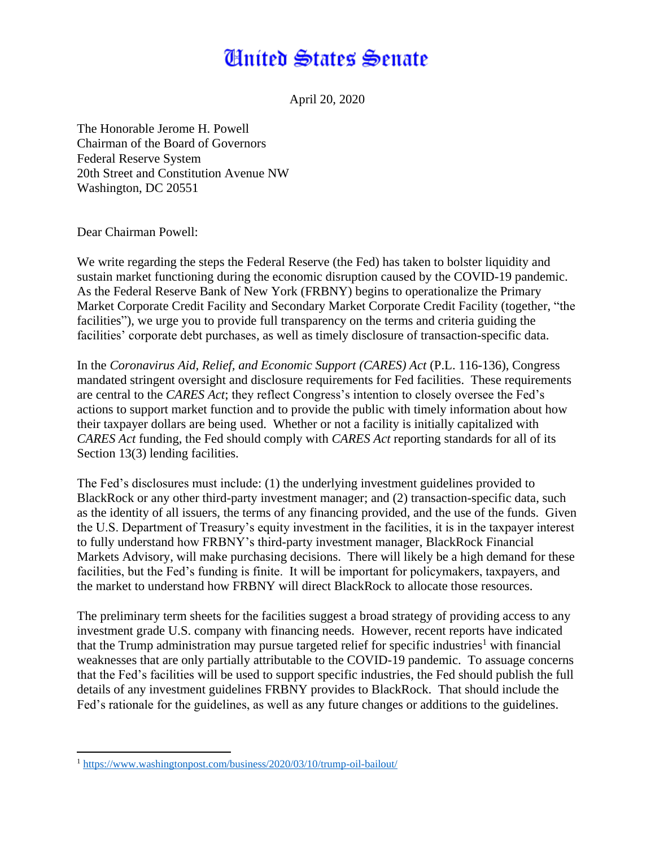## **Anited States Senate**

April 20, 2020

The Honorable Jerome H. Powell Chairman of the Board of Governors Federal Reserve System 20th Street and Constitution Avenue NW Washington, DC 20551

Dear Chairman Powell:

We write regarding the steps the Federal Reserve (the Fed) has taken to bolster liquidity and sustain market functioning during the economic disruption caused by the COVID-19 pandemic. As the Federal Reserve Bank of New York (FRBNY) begins to operationalize the Primary Market Corporate Credit Facility and Secondary Market Corporate Credit Facility (together, "the facilities"), we urge you to provide full transparency on the terms and criteria guiding the facilities' corporate debt purchases, as well as timely disclosure of transaction-specific data.

In the *Coronavirus Aid, Relief, and Economic Support (CARES) Act* (P.L. 116-136), Congress mandated stringent oversight and disclosure requirements for Fed facilities. These requirements are central to the *CARES Act*; they reflect Congress's intention to closely oversee the Fed's actions to support market function and to provide the public with timely information about how their taxpayer dollars are being used. Whether or not a facility is initially capitalized with *CARES Act* funding, the Fed should comply with *CARES Act* reporting standards for all of its Section 13(3) lending facilities.

The Fed's disclosures must include: (1) the underlying investment guidelines provided to BlackRock or any other third-party investment manager; and (2) transaction-specific data, such as the identity of all issuers, the terms of any financing provided, and the use of the funds. Given the U.S. Department of Treasury's equity investment in the facilities, it is in the taxpayer interest to fully understand how FRBNY's third-party investment manager, BlackRock Financial Markets Advisory, will make purchasing decisions. There will likely be a high demand for these facilities, but the Fed's funding is finite. It will be important for policymakers, taxpayers, and the market to understand how FRBNY will direct BlackRock to allocate those resources.

The preliminary term sheets for the facilities suggest a broad strategy of providing access to any investment grade U.S. company with financing needs. However, recent reports have indicated that the Trump administration may pursue targeted relief for specific industries<sup>1</sup> with financial weaknesses that are only partially attributable to the COVID-19 pandemic. To assuage concerns that the Fed's facilities will be used to support specific industries, the Fed should publish the full details of any investment guidelines FRBNY provides to BlackRock. That should include the Fed's rationale for the guidelines, as well as any future changes or additions to the guidelines.

 $\overline{\phantom{a}}$ <sup>1</sup> <https://www.washingtonpost.com/business/2020/03/10/trump-oil-bailout/>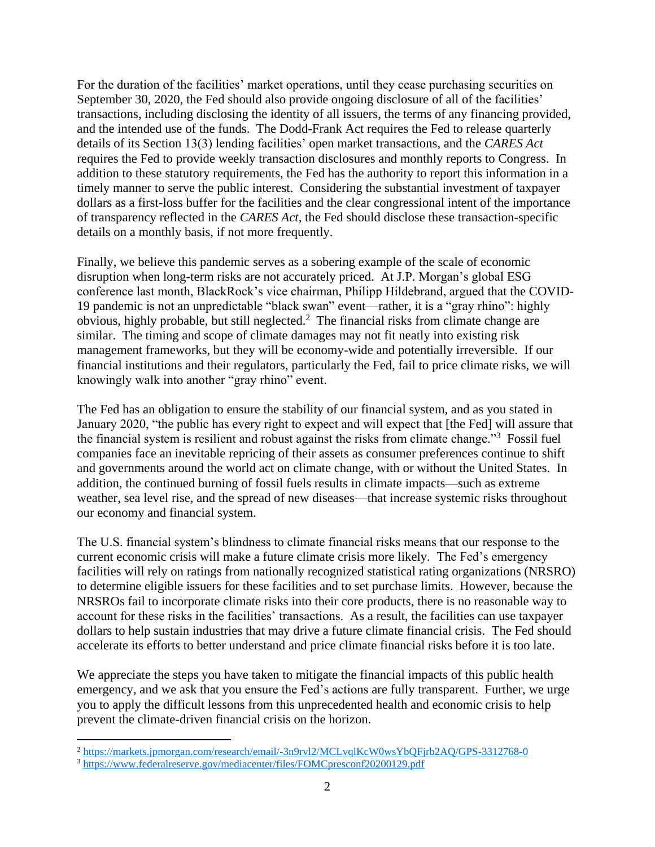For the duration of the facilities' market operations, until they cease purchasing securities on September 30, 2020, the Fed should also provide ongoing disclosure of all of the facilities' transactions, including disclosing the identity of all issuers, the terms of any financing provided, and the intended use of the funds. The Dodd-Frank Act requires the Fed to release quarterly details of its Section 13(3) lending facilities' open market transactions, and the *CARES Act* requires the Fed to provide weekly transaction disclosures and monthly reports to Congress. In addition to these statutory requirements, the Fed has the authority to report this information in a timely manner to serve the public interest. Considering the substantial investment of taxpayer dollars as a first-loss buffer for the facilities and the clear congressional intent of the importance of transparency reflected in the *CARES Act*, the Fed should disclose these transaction-specific details on a monthly basis, if not more frequently.

Finally, we believe this pandemic serves as a sobering example of the scale of economic disruption when long-term risks are not accurately priced. At J.P. Morgan's global ESG conference last month, BlackRock's vice chairman, Philipp Hildebrand, argued that the COVID-19 pandemic is not an unpredictable "black swan" event—rather, it is a "gray rhino": highly obvious, highly probable, but still neglected.<sup>2</sup> The financial risks from climate change are similar. The timing and scope of climate damages may not fit neatly into existing risk management frameworks, but they will be economy-wide and potentially irreversible. If our financial institutions and their regulators, particularly the Fed, fail to price climate risks, we will knowingly walk into another "gray rhino" event.

The Fed has an obligation to ensure the stability of our financial system, and as you stated in January 2020, "the public has every right to expect and will expect that [the Fed] will assure that the financial system is resilient and robust against the risks from climate change."<sup>3</sup> Fossil fuel companies face an inevitable repricing of their assets as consumer preferences continue to shift and governments around the world act on climate change, with or without the United States. In addition, the continued burning of fossil fuels results in climate impacts—such as extreme weather, sea level rise, and the spread of new diseases—that increase systemic risks throughout our economy and financial system.

The U.S. financial system's blindness to climate financial risks means that our response to the current economic crisis will make a future climate crisis more likely. The Fed's emergency facilities will rely on ratings from nationally recognized statistical rating organizations (NRSRO) to determine eligible issuers for these facilities and to set purchase limits. However, because the NRSROs fail to incorporate climate risks into their core products, there is no reasonable way to account for these risks in the facilities' transactions. As a result, the facilities can use taxpayer dollars to help sustain industries that may drive a future climate financial crisis. The Fed should accelerate its efforts to better understand and price climate financial risks before it is too late.

We appreciate the steps you have taken to mitigate the financial impacts of this public health emergency, and we ask that you ensure the Fed's actions are fully transparent. Further, we urge you to apply the difficult lessons from this unprecedented health and economic crisis to help prevent the climate-driven financial crisis on the horizon.

 $\overline{\phantom{a}}$ 

<sup>2</sup> <https://markets.jpmorgan.com/research/email/-3n9rvl2/MCLvqlKcW0wsYbQFjrb2AQ/GPS-3312768-0>

<sup>3</sup> <https://www.federalreserve.gov/mediacenter/files/FOMCpresconf20200129.pdf>